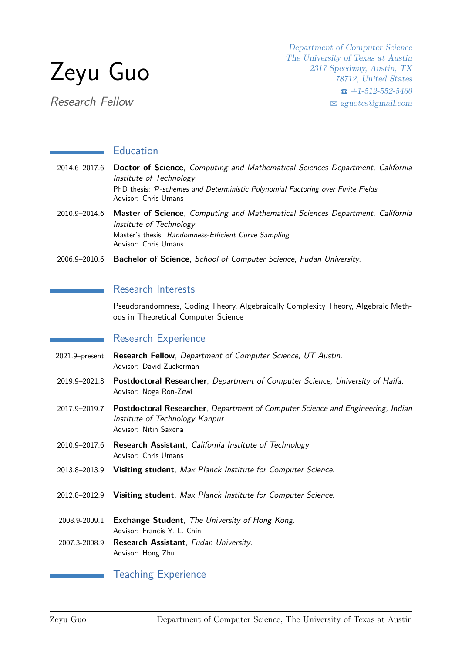

Research Fellow

Department of Computer Science The University of Texas at Austin 2317 Speedway, Austin, TX 78712, United States  $\bullet$  +1-512-552-5460 B [zguotcs@gmail.com](mailto:zguotcs@gmail.com)

# **Education**

| 2014.6-2017.6 Doctor of Science, Computing and Mathematical Sciences Department, California<br>Institute of Technology.<br>PhD thesis: P-schemes and Deterministic Polynomial Factoring over Finite Fields<br>Advisor: Chris Umans |
|------------------------------------------------------------------------------------------------------------------------------------------------------------------------------------------------------------------------------------|
| 2010.9–2014.6 Master of Science, Computing and Mathematical Sciences Department, California<br>$l$ ustitute of Technology                                                                                                          |

Institute of Technology. Master's thesis: Randomness-Efficient Curve Sampling Advisor: Chris Umans

2006.9–2010.6 **Bachelor of Science**, School of Computer Science, Fudan University.

## Research Interests

Pseudorandomness, Coding Theory, Algebraically Complexity Theory, Algebraic Methods in Theoretical Computer Science

## Research Experience

- 2021.9–present **Research Fellow**, Department of Computer Science, UT Austin. Advisor: David Zuckerman
- 2019.9–2021.8 **Postdoctoral Researcher**, Department of Computer Science, University of Haifa. Advisor: Noga Ron-Zewi
- 2017.9–2019.7 **Postdoctoral Researcher**, Department of Computer Science and Engineering, Indian Institute of Technology Kanpur. Advisor: Nitin Saxena
- 2010.9–2017.6 **Research Assistant**, California Institute of Technology. Advisor: Chris Umans
- 2013.8–2013.9 **Visiting student**, Max Planck Institute for Computer Science.
- 2012.8–2012.9 **Visiting student**, Max Planck Institute for Computer Science.
- 2008.9-2009.1 **Exchange Student**, The University of Hong Kong. Advisor: Francis Y. L. Chin
- 2007.3-2008.9 **Research Assistant**, Fudan University. Advisor: Hong Zhu

#### Teaching Experience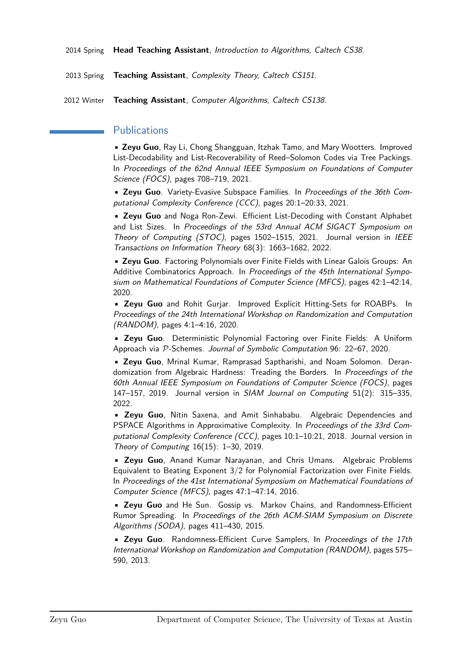2014 Spring **Head Teaching Assistant**, Introduction to Algorithms, Caltech CS38.

2013 Spring **Teaching Assistant**, Complexity Theory, Caltech CS151.

2012 Winter **Teaching Assistant**, Computer Algorithms, Caltech CS138.

## **Publications**

• **Zeyu Guo**, Ray Li, Chong Shangguan, Itzhak Tamo, and Mary Wootters. Improved List-Decodability and List-Recoverability of Reed–Solomon Codes via Tree Packings. In Proceedings of the 62nd Annual IEEE Symposium on Foundations of Computer Science (FOCS), pages 708–719, 2021.

• **Zeyu Guo**. Variety-Evasive Subspace Families. In Proceedings of the 36th Computational Complexity Conference (CCC), pages 20:1–20:33, 2021.

• **Zeyu Guo** and Noga Ron-Zewi. Efficient List-Decoding with Constant Alphabet and List Sizes. In Proceedings of the 53rd Annual ACM SIGACT Symposium on Theory of Computing (STOC), pages 1502–1515, 2021. Journal version in IEEE Transactions on Information Theory 68(3): 1663–1682, 2022.

• **Zeyu Guo**. Factoring Polynomials over Finite Fields with Linear Galois Groups: An Additive Combinatorics Approach. In Proceedings of the 45th International Symposium on Mathematical Foundations of Computer Science (MFCS), pages 42:1–42:14, 2020.

• **Zeyu Guo** and Rohit Gurjar. Improved Explicit Hitting-Sets for ROABPs. In Proceedings of the 24th International Workshop on Randomization and Computation (RANDOM), pages 4:1–4:16, 2020.

• **Zeyu Guo**. Deterministic Polynomial Factoring over Finite Fields: A Uniform Approach via P-Schemes. Journal of Symbolic Computation 96: 22–67, 2020.

• **Zeyu Guo**, Mrinal Kumar, Ramprasad Saptharishi, and Noam Solomon. Derandomization from Algebraic Hardness: Treading the Borders. In Proceedings of the 60th Annual IEEE Symposium on Foundations of Computer Science (FOCS), pages 147–157, 2019. Journal version in SIAM Journal on Computing 51(2): 315–335, 2022.

• **Zeyu Guo**, Nitin Saxena, and Amit Sinhababu. Algebraic Dependencies and PSPACE Algorithms in Approximative Complexity. In Proceedings of the 33rd Computational Complexity Conference (CCC), pages 10:1–10:21, 2018. Journal version in Theory of Computing 16(15): 1–30, 2019.

• **Zeyu Guo**, Anand Kumar Narayanan, and Chris Umans. Algebraic Problems Equivalent to Beating Exponent 3/2 for Polynomial Factorization over Finite Fields. In Proceedings of the 41st International Symposium on Mathematical Foundations of Computer Science (MFCS), pages 47:1–47:14, 2016.

• **Zeyu Guo** and He Sun. Gossip vs. Markov Chains, and Randomness-Efficient Rumor Spreading. In Proceedings of the 26th ACM-SIAM Symposium on Discrete Algorithms (SODA), pages 411–430, 2015.

• **Zeyu Guo**. Randomness-Efficient Curve Samplers, In Proceedings of the 17th International Workshop on Randomization and Computation (RANDOM), pages 575– 590, 2013.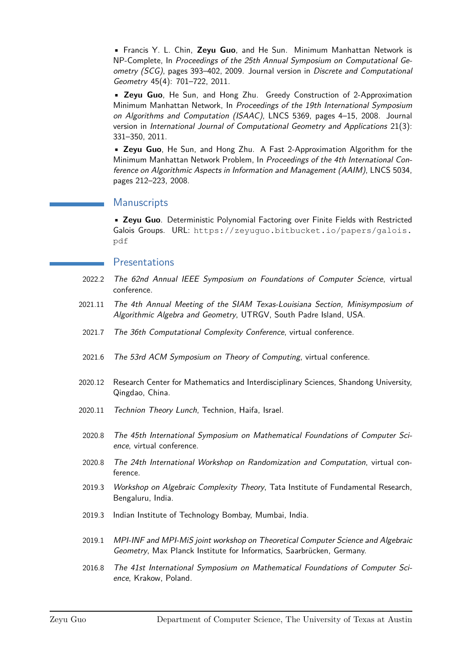• Francis Y. L. Chin, **Zeyu Guo**, and He Sun. Minimum Manhattan Network is NP-Complete, In Proceedings of the 25th Annual Symposium on Computational Geometry (SCG), pages 393–402, 2009. Journal version in Discrete and Computational Geometry 45(4): 701–722, 2011.

• **Zeyu Guo**, He Sun, and Hong Zhu. Greedy Construction of 2-Approximation Minimum Manhattan Network, In Proceedings of the 19th International Symposium on Algorithms and Computation (ISAAC), LNCS 5369, pages 4–15, 2008. Journal version in International Journal of Computational Geometry and Applications 21(3): 331–350, 2011.

• **Zeyu Guo**, He Sun, and Hong Zhu. A Fast 2-Approximation Algorithm for the Minimum Manhattan Network Problem, In Proceedings of the 4th International Conference on Algorithmic Aspects in Information and Management (AAIM), LNCS 5034, pages 212–223, 2008.

# **Manuscripts**

• **Zeyu Guo**. Deterministic Polynomial Factoring over Finite Fields with Restricted Galois Groups. URL: [https://zeyuguo.bitbucket.io/papers/galois.](https://zeyuguo.bitbucket.io/papers/galois.pdf) [pdf](https://zeyuguo.bitbucket.io/papers/galois.pdf)

#### Presentations

- 2022.2 The 62nd Annual IEEE Symposium on Foundations of Computer Science, virtual conference.
- 2021.11 The 4th Annual Meeting of the SIAM Texas-Louisiana Section, Minisymposium of Algorithmic Algebra and Geometry, UTRGV, South Padre Island, USA.
- 2021.7 The 36th Computational Complexity Conference, virtual conference.
- 2021.6 The 53rd ACM Symposium on Theory of Computing, virtual conference.
- 2020.12 Research Center for Mathematics and Interdisciplinary Sciences, Shandong University, Qingdao, China.
- 2020.11 Technion Theory Lunch, Technion, Haifa, Israel.
- 2020.8 The 45th International Symposium on Mathematical Foundations of Computer Science, virtual conference.
- 2020.8 The 24th International Workshop on Randomization and Computation, virtual conference.
- 2019.3 Workshop on Algebraic Complexity Theory, Tata Institute of Fundamental Research, Bengaluru, India.
- 2019.3 Indian Institute of Technology Bombay, Mumbai, India.
- 2019.1 MPI-INF and MPI-MiS joint workshop on Theoretical Computer Science and Algebraic Geometry, Max Planck Institute for Informatics, Saarbrücken, Germany.
- 2016.8 The 41st International Symposium on Mathematical Foundations of Computer Science, Krakow, Poland.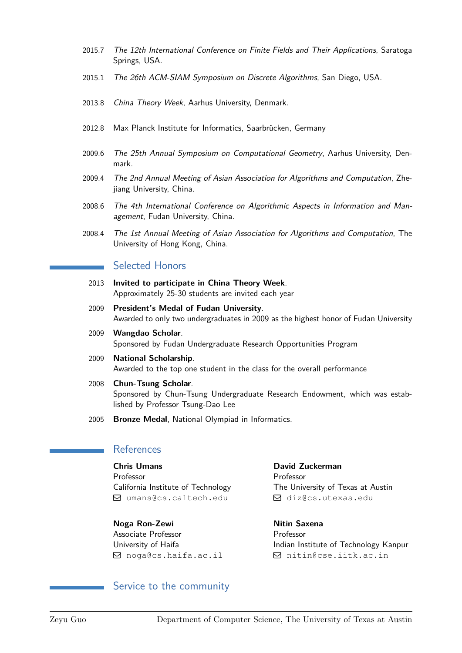- 2015.7 The 12th International Conference on Finite Fields and Their Applications, Saratoga Springs, USA.
- 2015.1 The 26th ACM-SIAM Symposium on Discrete Algorithms, San Diego, USA.
- 2013.8 China Theory Week, Aarhus University, Denmark.
- 2012.8 Max Planck Institute for Informatics, Saarbrücken, Germany
- 2009.6 The 25th Annual Symposium on Computational Geometry, Aarhus University, Denmark.
- 2009.4 The 2nd Annual Meeting of Asian Association for Algorithms and Computation, Zhejiang University, China.
- 2008.6 The 4th International Conference on Algorithmic Aspects in Information and Management, Fudan University, China.
- 2008.4 The 1st Annual Meeting of Asian Association for Algorithms and Computation, The University of Hong Kong, China.

# Selected Honors

- 2013 **Invited to participate in China Theory Week**. Approximately 25-30 students are invited each year
- 2009 **President's Medal of Fudan University**. Awarded to only two undergraduates in 2009 as the highest honor of Fudan University
- 2009 **Wangdao Scholar**. Sponsored by Fudan Undergraduate Research Opportunities Program
- 2009 **National Scholarship**. Awarded to the top one student in the class for the overall performance
- 2008 **Chun-Tsung Scholar**. Sponsored by Chun-Tsung Undergraduate Research Endowment, which was established by Professor Tsung-Dao Lee
- 2005 **Bronze Medal**, National Olympiad in Informatics.

## References

**Chris Umans** Professor California Institute of Technology Q [umans@cs.caltech.edu](mailto:umans@cs.caltech.edu)

**Noga Ron-Zewi** Associate Professor University of Haifa Q [noga@cs.haifa.ac.il](mailto:noga@cs.haifa.ac.il)

**David Zuckerman** Professor The University of Texas at Austin Q [diz@cs.utexas.edu](mailto:diz@cs.utexas.edu)

**Nitin Saxena** Professor Indian Institute of Technology Kanpur Q [nitin@cse.iitk.ac.in](mailto:nitin@cse.iitk.ac.in)

#### Service to the community